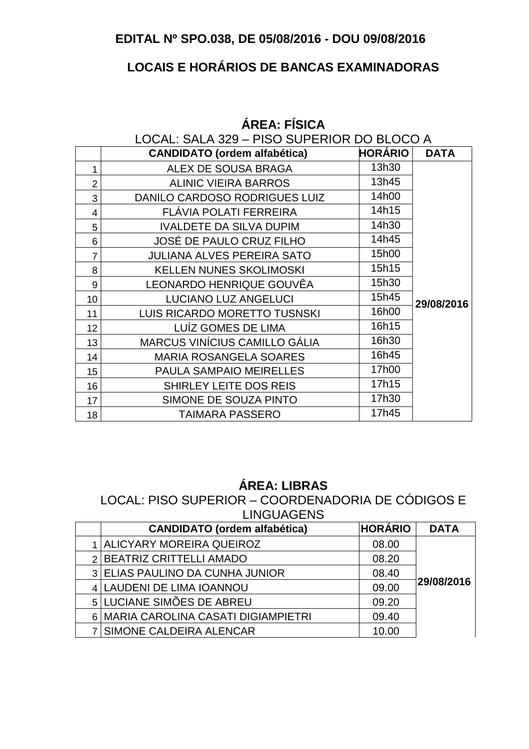### **EDITAL Nº SPO.038, DE 05/08/2016 - DOU 09/08/2016**

# **LOCAIS E HORÁRIOS DE BANCAS EXAMINADORAS**

|                | LOCAL: SALA 329 - PISO SUPERIOR DO BLOCO A |                |             |  |  |
|----------------|--------------------------------------------|----------------|-------------|--|--|
|                | <b>CANDIDATO (ordem alfabética)</b>        | <b>HORÁRIO</b> | <b>DATA</b> |  |  |
| 1              | ALEX DE SOUSA BRAGA                        | 13h30          |             |  |  |
| $\overline{2}$ | <b>ALINIC VIEIRA BARROS</b>                | 13h45          |             |  |  |
| 3              | DANILO CARDOSO RODRIGUES LUIZ              | 14h00          |             |  |  |
| 4              | FLÁVIA POLATI FERREIRA                     | 14h15          |             |  |  |
| 5              | <b>IVALDETE DA SILVA DUPIM</b>             | 14h30          |             |  |  |
| 6              | JOSÉ DE PAULO CRUZ FILHO                   | 14h45          |             |  |  |
| $\overline{7}$ | <b>JULIANA ALVES PEREIRA SATO</b>          | 15h00          |             |  |  |
| 8              | <b>KELLEN NUNES SKOLIMOSKI</b>             | 15h15          |             |  |  |
| 9              | LEONARDO HENRIQUE GOUVÊA                   | 15h30          |             |  |  |
| 10             | <b>LUCIANO LUZ ANGELUCI</b>                | 15h45          | 29/08/2016  |  |  |
| 11             | LUIS RICARDO MORETTO TUSNSKI               | 16h00          |             |  |  |
| 12             | LUIZ GOMES DE LIMA                         | 16h15          |             |  |  |
| 13             | <b>MARCUS VINÍCIUS CAMILLO GÁLIA</b>       | 16h30          |             |  |  |
| 14             | <b>MARIA ROSANGELA SOARES</b>              | 16h45          |             |  |  |
| 15             | PAULA SAMPAIO MEIRELLES                    | 17h00          |             |  |  |
| 16             | SHIRLEY LEITE DOS REIS                     | 17h15          |             |  |  |
| 17             | SIMONE DE SOUZA PINTO                      | 17h30          |             |  |  |
| 18             | <b>TAIMARA PASSERO</b>                     | 17h45          |             |  |  |

### **ÁREA: FÍSICA**

#### **ÁREA: LIBRAS**

LOCAL: PISO SUPERIOR – COORDENADORIA DE CÓDIGOS E LINGUAGENS

| <b>CANDIDATO</b> (ordem alfabética)    | <b>HORÁRIO</b> | <b>DATA</b> |
|----------------------------------------|----------------|-------------|
| <b>ALICYARY MOREIRA QUEIROZ</b>        | 08.00          |             |
| 2 BEATRIZ CRITTELLI AMADO              | 08.20          |             |
| 3 ELIAS PAULINO DA CUNHA JUNIOR        | 08.40          |             |
| 4 LAUDENI DE LIMA IOANNOU              | 09.00          | 29/08/2016  |
| 5 LUCIANE SIMÕES DE ABREU              | 09.20          |             |
| 6   MARIA CAROLINA CASATI DIGIAMPIETRI | 09.40          |             |
| 7 SIMONE CALDEIRA ALENCAR              | 10.00          |             |